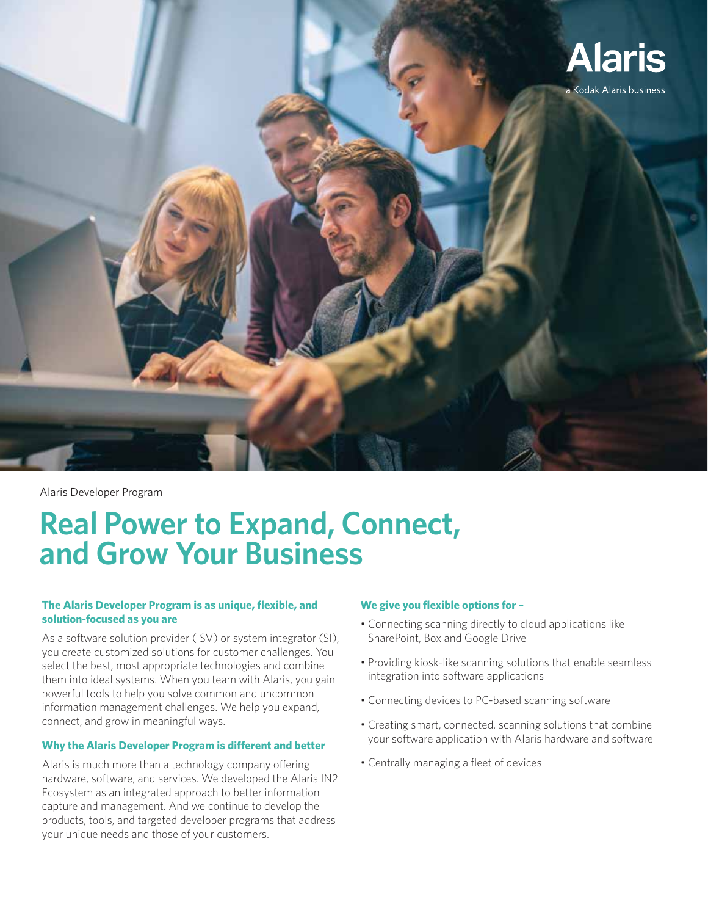

Alaris Developer Program

# **Real Power to Expand, Connect, and Grow Your Business**

## **The Alaris Developer Program is as unique, flexible, and solution-focused as you are**

As a software solution provider (ISV) or system integrator (SI), you create customized solutions for customer challenges. You select the best, most appropriate technologies and combine them into ideal systems. When you team with Alaris, you gain powerful tools to help you solve common and uncommon information management challenges. We help you expand, connect, and grow in meaningful ways.

### **Why the Alaris Developer Program is different and better**

Alaris is much more than a technology company offering hardware, software, and services. We developed the Alaris IN2 Ecosystem as an integrated approach to better information capture and management. And we continue to develop the products, tools, and targeted developer programs that address your unique needs and those of your customers.

## **We give you flexible options for –**

- Connecting scanning directly to cloud applications like SharePoint, Box and Google Drive
- Providing kiosk-like scanning solutions that enable seamless integration into software applications
- Connecting devices to PC-based scanning software
- Creating smart, connected, scanning solutions that combine your software application with Alaris hardware and software
- Centrally managing a fleet of devices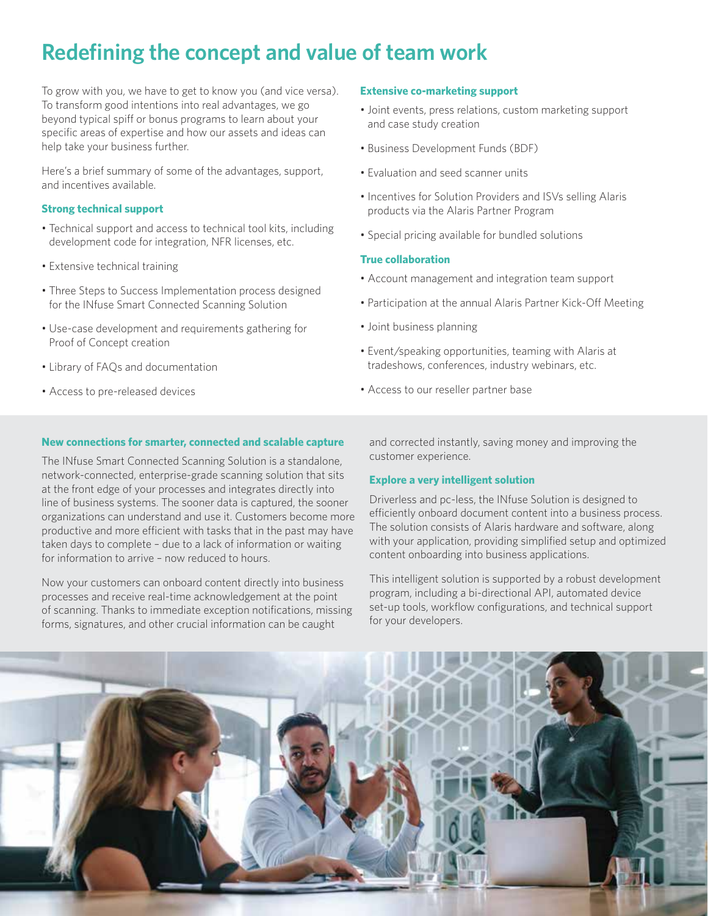# **Redefining the concept and value of team work**

To grow with you, we have to get to know you (and vice versa). To transform good intentions into real advantages, we go beyond typical spiff or bonus programs to learn about your specific areas of expertise and how our assets and ideas can help take your business further.

Here's a brief summary of some of the advantages, support, and incentives available.

#### **Strong technical support**

- Technical support and access to technical tool kits, including development code for integration, NFR licenses, etc.
- Extensive technical training
- Three Steps to Success Implementation process designed for the INfuse Smart Connected Scanning Solution
- Use-case development and requirements gathering for Proof of Concept creation
- Library of FAQs and documentation
- Access to pre-released devices

#### **New connections for smarter, connected and scalable capture**

The INfuse Smart Connected Scanning Solution is a standalone, network-connected, enterprise-grade scanning solution that sits at the front edge of your processes and integrates directly into line of business systems. The sooner data is captured, the sooner organizations can understand and use it. Customers become more productive and more efficient with tasks that in the past may have taken days to complete – due to a lack of information or waiting for information to arrive – now reduced to hours.

Now your customers can onboard content directly into business processes and receive real-time acknowledgement at the point of scanning. Thanks to immediate exception notifications, missing forms, signatures, and other crucial information can be caught

and corrected instantly, saving money and improving the customer experience.

#### **Explore a very intelligent solution**

Driverless and pc-less, the INfuse Solution is designed to efficiently onboard document content into a business process. The solution consists of Alaris hardware and software, along with your application, providing simplified setup and optimized content onboarding into business applications.

This intelligent solution is supported by a robust development program, including a bi-directional API, automated device set-up tools, workflow configurations, and technical support for your developers.



#### **Extensive co-marketing support**

- Joint events, press relations, custom marketing support and case study creation
- Business Development Funds (BDF)
- Evaluation and seed scanner units
- Incentives for Solution Providers and ISVs selling Alaris products via the Alaris Partner Program
- Special pricing available for bundled solutions

#### **True collaboration**

- Account management and integration team support
- Participation at the annual Alaris Partner Kick-Off Meeting
- Joint business planning
- Event/speaking opportunities, teaming with Alaris at tradeshows, conferences, industry webinars, etc.
- Access to our reseller partner base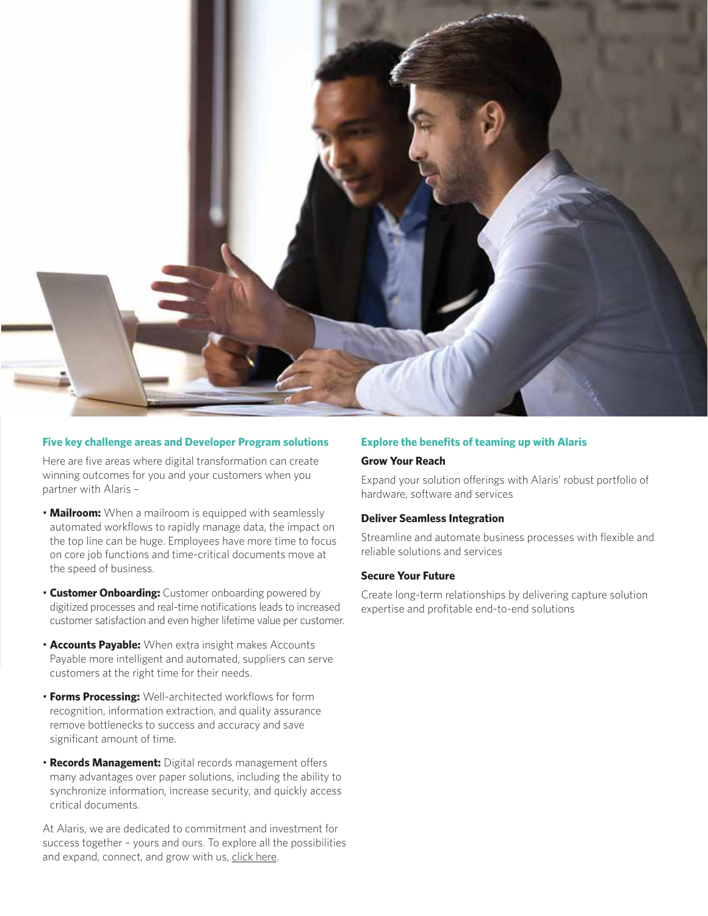

#### **Five key challenge areas and Developer Program solutions**

Here are five areas where digital transformation can create winning outcomes for you and your customers when you partner with Alaris –

- **Mailroom:** When a mailroom is equipped with seamlessly automated workflows to rapidly manage data, the impact on the top line can be huge. Employees have more time to focus on core job functions and time-critical documents move at the speed of business.
- **Customer Onboarding:** Customer onboarding powered by digitized processes and real-time notifications leads to increased customer satisfaction and even higher lifetime value per customer.
- **Accounts Payable:** When extra insight makes Accounts Payable more intelligent and automated, suppliers can serve customers at the right time for their needs.
- **Forms Processing:** Well-architected workflows for form recognition, information extraction, and quality assurance remove bottlenecks to success and accuracy and save significant amount of time.
- **Records Management:** Digital records management offers many advantages over paper solutions, including the ability to synchronize information, increase security, and quickly access critical documents.

At Alaris, we are dedicated to commitment and investment for success together – yours and ours. To explore all the possibilities and expand, connect, and grow with us, click here.

#### **Explore the benefits of teaming up with Alaris**

#### **Grow Your Reach**

Expand your solution offerings with Alaris' robust portfolio of hardware, software and services

#### **Deliver Seamless Integration**

Streamline and automate business processes with flexible and reliable solutions and services

#### **Secure Your Future**

Create long-term relationships by delivering capture solution expertise and profitable end-to-end solutions